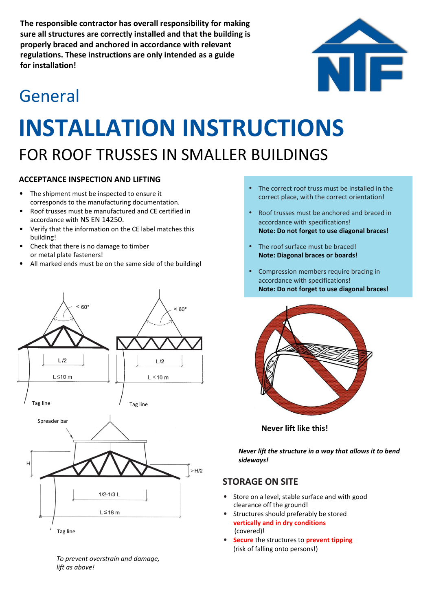**The responsible contractor has overall responsibility for making sure all structures are correctly installed and that the building is properly braced and anchored in accordance with relevant regulations. These instructions are only intended as a guide for installation!**

## General

# **INSTALLATION INSTRUCTIONS** FOR ROOF TRUSSES IN SMALLER BUILDINGS

#### **ACCEPTANCE INSPECTION AND LIFTING**

- The shipment must be inspected to ensure it corresponds to the manufacturing documentation.
- Roof trusses must be manufactured and CE certified in accordance with NS EN 14250.
- Verify that the information on the CE label matches this building!
- Check that there is no damage to timber or metal plate fasteners!
- All marked ends must be on the same side of the building!



*To prevent overstrain and damage, lift as above!*

- **•** The correct roof truss must be installed in the correct place, with the correct orientation!
- **•** Roof trusses must be anchored and braced in accordance with specifications! **Note: Do not forget to use diagonal braces!**
- **•** The roof surface must be braced! **Note: Diagonal braces or boards!**
- **•** Compression members require bracing in accordance with specifications! **Note: Do not forget to use diagonal braces!**



**Never lift like this!**

*Never lift the structure in a way that allows it to bend sideways!*

#### **STORAGE ON SITE**

- Store on a level, stable surface and with good clearance off the ground!
- Structures should preferably be stored **vertically and in dry conditions** (covered)!
- **Secure** the structures to **prevent tipping** (risk of falling onto persons!)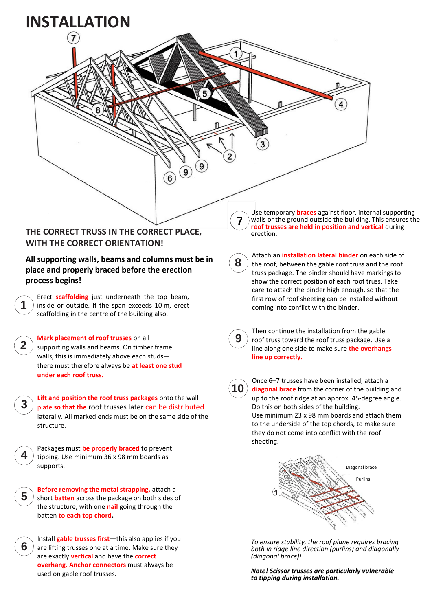

*Note! Scissor trusses are particularly vulnerable to tipping during installation.*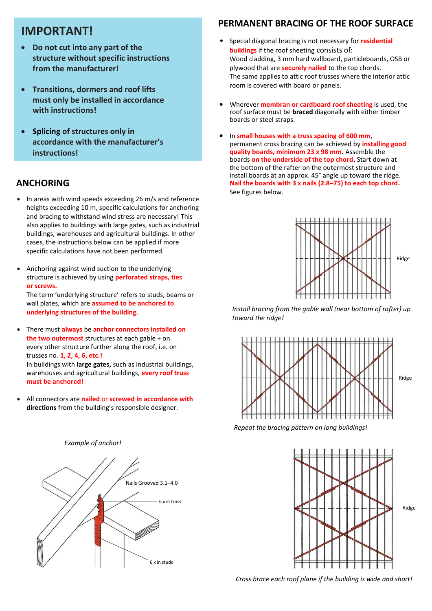### **IMPORTANT!**

- **Do not cut into any part of the structure without specific instructions from the manufacturer!**
- **Transitions, dormers and roof lifts must only be installed in accordance with instructions!**
- **Splicing of structures only in accordance with the manufacturer's instructions!**

#### **ANCHORING**

- In areas with wind speeds exceeding 26 m/s and reference heights exceeding 10 m, specific calculations for anchoring and bracing to withstand wind stress are necessary! This also applies to buildings with large gates, such as industrial buildings, warehouses and agricultural buildings. In other cases, the instructions below can be applied if more specific calculations have not been performed.
- Anchoring against wind suction to the underlying structure is achieved by using **perforated straps, ties or screws.**

The term 'underlying structure' refers to studs, beams or wall plates, which are **assumed to be anchored to underlying structures of the building.**

- There must **always** be **anchor connectors installed on the two outermost** structures at each gable + on every other structure further along the roof, i.e. on trusses no. **1, 2, 4, 6, etc.!** In buildings with **large gates,** such as industrial buildings, warehouses and agricultural buildings, **every roof truss must be anchored!**
- All connectors are **nailed** or **screwed in accordance with directions** from the building's responsible designer.



#### **PERMANENT BRACING OF THE ROOF SURFACE**

- Special diagonal bracing is not necessary for **residential buildings** if the roof sheeting consists of: Wood cladding, 3 mm hard wallboard, particleboards, OSB or plywood that are **securely nailed** to the top chords. The same applies to attic roof trusses where the interior attic room is covered with board or panels.
- Wherever **membran or cardboard roof sheeting** is used, the roof surface must be **braced** diagonally with either timber boards or steel straps.
- In **small houses with a truss spacing of 600 mm**, permanent cross bracing can be achieved by **installing good quality boards, minimum 23 x 98 mm.** Assemble the boards **on the underside of the top chord.** Start down at the bottom of the rafter on the outermost structure and install boards at an approx. 45° angle up toward the ridge. **Nail the boards with 3 x nails (2.8–75) to each top chord.** See figures below.



*Install bracing from the gable wall (near bottom of rafter) up toward the ridge!*



*Repeat the bracing pattern on long buildings!*



 *Cross brace each roof plane if the building is wide and short!*

*Example of anchor!*